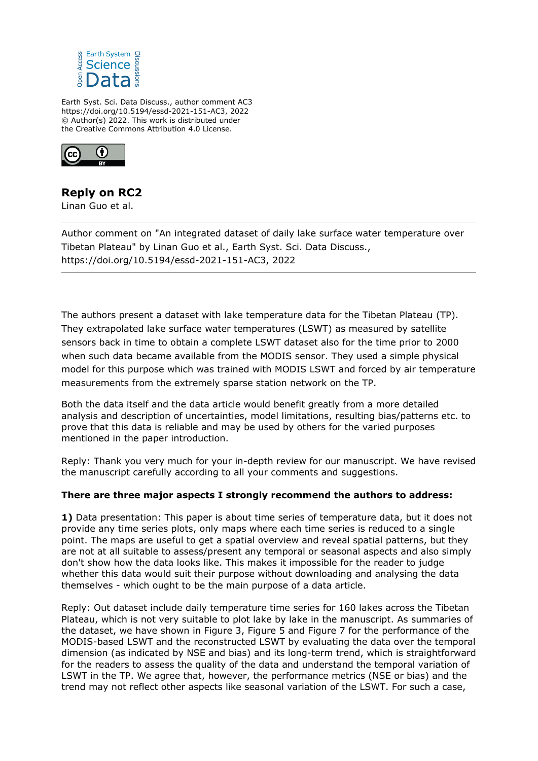

Earth Syst. Sci. Data Discuss., author comment AC3 https://doi.org/10.5194/essd-2021-151-AC3, 2022 © Author(s) 2022. This work is distributed under the Creative Commons Attribution 4.0 License.



## **Reply on RC2**

Linan Guo et al.

Author comment on "An integrated dataset of daily lake surface water temperature over Tibetan Plateau" by Linan Guo et al., Earth Syst. Sci. Data Discuss., https://doi.org/10.5194/essd-2021-151-AC3, 2022

The authors present a dataset with lake temperature data for the Tibetan Plateau (TP). They extrapolated lake surface water temperatures (LSWT) as measured by satellite sensors back in time to obtain a complete LSWT dataset also for the time prior to 2000 when such data became available from the MODIS sensor. They used a simple physical model for this purpose which was trained with MODIS LSWT and forced by air temperature measurements from the extremely sparse station network on the TP.

Both the data itself and the data article would benefit greatly from a more detailed analysis and description of uncertainties, model limitations, resulting bias/patterns etc. to prove that this data is reliable and may be used by others for the varied purposes mentioned in the paper introduction.

Reply: Thank you very much for your in-depth review for our manuscript. We have revised the manuscript carefully according to all your comments and suggestions.

## **There are three major aspects I strongly recommend the authors to address:**

**1)** Data presentation: This paper is about time series of temperature data, but it does not provide any time series plots, only maps where each time series is reduced to a single point. The maps are useful to get a spatial overview and reveal spatial patterns, but they are not at all suitable to assess/present any temporal or seasonal aspects and also simply don't show how the data looks like. This makes it impossible for the reader to judge whether this data would suit their purpose without downloading and analysing the data themselves - which ought to be the main purpose of a data article.

Reply: Out dataset include daily temperature time series for 160 lakes across the Tibetan Plateau, which is not very suitable to plot lake by lake in the manuscript. As summaries of the dataset, we have shown in Figure 3, Figure 5 and Figure 7 for the performance of the MODIS-based LSWT and the reconstructed LSWT by evaluating the data over the temporal dimension (as indicated by NSE and bias) and its long-term trend, which is straightforward for the readers to assess the quality of the data and understand the temporal variation of LSWT in the TP. We agree that, however, the performance metrics (NSE or bias) and the trend may not reflect other aspects like seasonal variation of the LSWT. For such a case,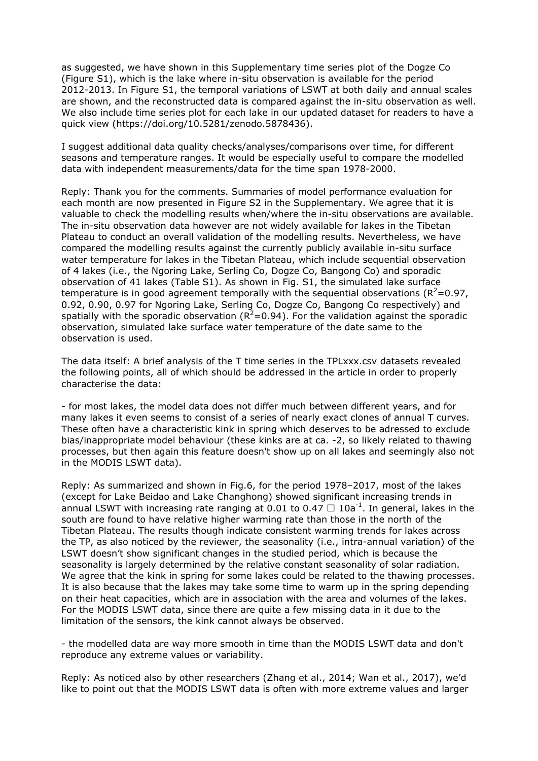as suggested, we have shown in this Supplementary time series plot of the Dogze Co (Figure S1), which is the lake where in-situ observation is available for the period 2012-2013. In Figure S1, the temporal variations of LSWT at both daily and annual scales are shown, and the reconstructed data is compared against the in-situ observation as well. We also include time series plot for each lake in our updated dataset for readers to have a quick view (https://doi.org/10.5281/zenodo.5878436).

I suggest additional data quality checks/analyses/comparisons over time, for different seasons and temperature ranges. It would be especially useful to compare the modelled data with independent measurements/data for the time span 1978-2000.

Reply: Thank you for the comments. Summaries of model performance evaluation for each month are now presented in Figure S2 in the Supplementary. We agree that it is valuable to check the modelling results when/where the in-situ observations are available. The in-situ observation data however are not widely available for lakes in the Tibetan Plateau to conduct an overall validation of the modelling results. Nevertheless, we have compared the modelling results against the currently publicly available in-situ surface water temperature for lakes in the Tibetan Plateau, which include sequential observation of 4 lakes (i.e., the Ngoring Lake, Serling Co, Dogze Co, Bangong Co) and sporadic observation of 41 lakes (Table S1). As shown in Fig. S1, the simulated lake surface temperature is in good agreement temporally with the sequential observations ( $R^2$ =0.97, 0.92, 0.90, 0.97 for Ngoring Lake, Serling Co, Dogze Co, Bangong Co respectively) and spatially with the sporadic observation ( $R^2$ =0.94). For the validation against the sporadic observation, simulated lake surface water temperature of the date same to the observation is used.

The data itself: A brief analysis of the T time series in the TPLxxx.csv datasets revealed the following points, all of which should be addressed in the article in order to properly characterise the data:

- for most lakes, the model data does not differ much between different years, and for many lakes it even seems to consist of a series of nearly exact clones of annual T curves. These often have a characteristic kink in spring which deserves to be adressed to exclude bias/inappropriate model behaviour (these kinks are at ca. -2, so likely related to thawing processes, but then again this feature doesn't show up on all lakes and seemingly also not in the MODIS LSWT data).

Reply: As summarized and shown in Fig.6, for the period 1978–2017, most of the lakes (except for Lake Beidao and Lake Changhong) showed significant increasing trends in annual LSWT with increasing rate ranging at 0.01 to 0.47  $\Box$  10a<sup>-1</sup>. In general, lakes in the south are found to have relative higher warming rate than those in the north of the Tibetan Plateau. The results though indicate consistent warming trends for lakes across the TP, as also noticed by the reviewer, the seasonality (i.e., intra-annual variation) of the LSWT doesn't show significant changes in the studied period, which is because the seasonality is largely determined by the relative constant seasonality of solar radiation. We agree that the kink in spring for some lakes could be related to the thawing processes. It is also because that the lakes may take some time to warm up in the spring depending on their heat capacities, which are in association with the area and volumes of the lakes. For the MODIS LSWT data, since there are quite a few missing data in it due to the limitation of the sensors, the kink cannot always be observed.

- the modelled data are way more smooth in time than the MODIS LSWT data and don't reproduce any extreme values or variability.

Reply: As noticed also by other researchers (Zhang et al., 2014; Wan et al., 2017), we'd like to point out that the MODIS LSWT data is often with more extreme values and larger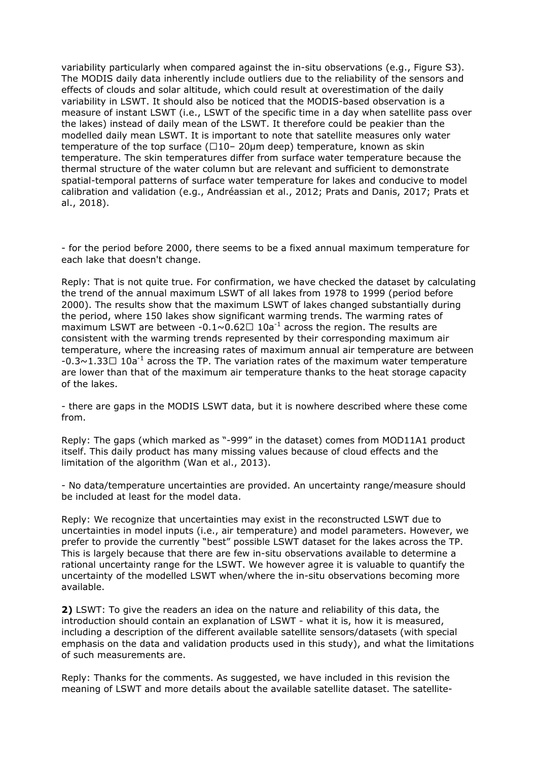variability particularly when compared against the in-situ observations (e.g., Figure S3). The MODIS daily data inherently include outliers due to the reliability of the sensors and effects of clouds and solar altitude, which could result at overestimation of the daily variability in LSWT. It should also be noticed that the MODIS-based observation is a measure of instant LSWT (i.e., LSWT of the specific time in a day when satellite pass over the lakes) instead of daily mean of the LSWT. It therefore could be peakier than the modelled daily mean LSWT. It is important to note that satellite measures only water temperature of the top surface (□10- 20µm deep) temperature, known as skin temperature. The skin temperatures differ from surface water temperature because the thermal structure of the water column but are relevant and sufficient to demonstrate spatial-temporal patterns of surface water temperature for lakes and conducive to model calibration and validation (e.g., Andréassian et al., 2012; Prats and Danis, 2017; Prats et al., 2018).

- for the period before 2000, there seems to be a fixed annual maximum temperature for each lake that doesn't change.

Reply: That is not quite true. For confirmation, we have checked the dataset by calculating the trend of the annual maximum LSWT of all lakes from 1978 to 1999 (period before 2000). The results show that the maximum LSWT of lakes changed substantially during the period, where 150 lakes show significant warming trends. The warming rates of maximum LSWT are between  $-0.1 \sim 0.62 \square 10a^{-1}$  across the region. The results are consistent with the warming trends represented by their corresponding maximum air temperature, where the increasing rates of maximum annual air temperature are between  $-0.3 \sim 1.33 \square$  10a<sup>-1</sup> across the TP. The variation rates of the maximum water temperature are lower than that of the maximum air temperature thanks to the heat storage capacity of the lakes.

- there are gaps in the MODIS LSWT data, but it is nowhere described where these come from.

Reply: The gaps (which marked as "-999" in the dataset) comes from MOD11A1 product itself. This daily product has many missing values because of cloud effects and the limitation of the algorithm (Wan et al., 2013).

- No data/temperature uncertainties are provided. An uncertainty range/measure should be included at least for the model data.

Reply: We recognize that uncertainties may exist in the reconstructed LSWT due to uncertainties in model inputs (i.e., air temperature) and model parameters. However, we prefer to provide the currently "best" possible LSWT dataset for the lakes across the TP. This is largely because that there are few in-situ observations available to determine a rational uncertainty range for the LSWT. We however agree it is valuable to quantify the uncertainty of the modelled LSWT when/where the in-situ observations becoming more available.

**2)** LSWT: To give the readers an idea on the nature and reliability of this data, the introduction should contain an explanation of LSWT - what it is, how it is measured, including a description of the different available satellite sensors/datasets (with special emphasis on the data and validation products used in this study), and what the limitations of such measurements are.

Reply: Thanks for the comments. As suggested, we have included in this revision the meaning of LSWT and more details about the available satellite dataset. The satellite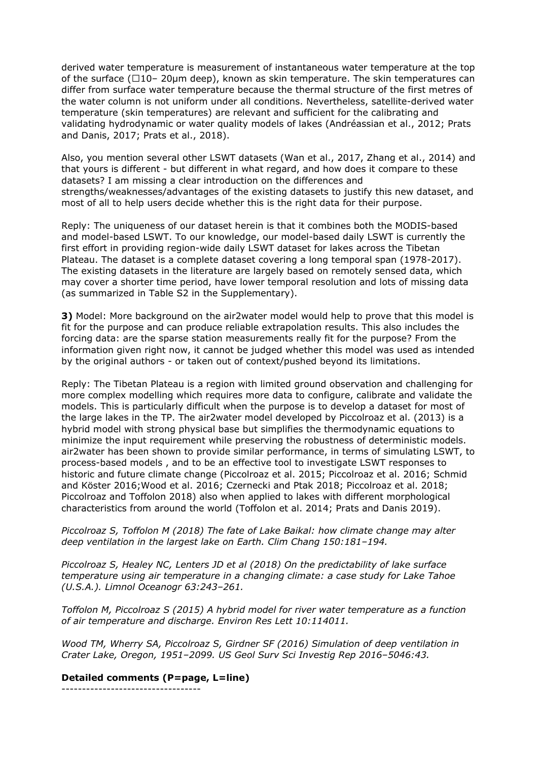derived water temperature is measurement of instantaneous water temperature at the top of the surface (∼10– 20µm deep), known as skin temperature. The skin temperatures can differ from surface water temperature because the thermal structure of the first metres of the water column is not uniform under all conditions. Nevertheless, satellite-derived water temperature (skin temperatures) are relevant and sufficient for the calibrating and validating hydrodynamic or water quality models of lakes (Andréassian et al., 2012; Prats and Danis, 2017; Prats et al., 2018).

Also, you mention several other LSWT datasets (Wan et al., 2017, Zhang et al., 2014) and that yours is different - but different in what regard, and how does it compare to these datasets? I am missing a clear introduction on the differences and strengths/weaknesses/advantages of the existing datasets to justify this new dataset, and most of all to help users decide whether this is the right data for their purpose.

Reply: The uniqueness of our dataset herein is that it combines both the MODIS-based and model-based LSWT. To our knowledge, our model-based daily LSWT is currently the first effort in providing region-wide daily LSWT dataset for lakes across the Tibetan Plateau. The dataset is a complete dataset covering a long temporal span (1978-2017). The existing datasets in the literature are largely based on remotely sensed data, which may cover a shorter time period, have lower temporal resolution and lots of missing data (as summarized in Table S2 in the Supplementary).

**3)** Model: More background on the air2water model would help to prove that this model is fit for the purpose and can produce reliable extrapolation results. This also includes the forcing data: are the sparse station measurements really fit for the purpose? From the information given right now, it cannot be judged whether this model was used as intended by the original authors - or taken out of context/pushed beyond its limitations.

Reply: The Tibetan Plateau is a region with limited ground observation and challenging for more complex modelling which requires more data to configure, calibrate and validate the models. This is particularly difficult when the purpose is to develop a dataset for most of the large lakes in the TP. The air2water model developed by Piccolroaz et al. (2013) is a hybrid model with strong physical base but simplifies the thermodynamic equations to minimize the input requirement while preserving the robustness of deterministic models. air2water has been shown to provide similar performance, in terms of simulating LSWT, to process-based models , and to be an effective tool to investigate LSWT responses to historic and future climate change (Piccolroaz et al. 2015; Piccolroaz et al. 2016; Schmid and Köster 2016;Wood et al. 2016; Czernecki and Ptak 2018; Piccolroaz et al. 2018; Piccolroaz and Toffolon 2018) also when applied to lakes with different morphological characteristics from around the world (Toffolon et al. 2014; Prats and Danis 2019).

*Piccolroaz S, Toffolon M (2018) The fate of Lake Baikal: how climate change may alter deep ventilation in the largest lake on Earth. Clim Chang 150:181–194.* 

*Piccolroaz S, Healey NC, Lenters JD et al (2018) On the predictability of lake surface temperature using air temperature in a changing climate: a case study for Lake Tahoe (U.S.A.). Limnol Oceanogr 63:243–261.*

*Toffolon M, Piccolroaz S (2015) A hybrid model for river water temperature as a function of air temperature and discharge. Environ Res Lett 10:114011.* 

*Wood TM, Wherry SA, Piccolroaz S, Girdner SF (2016) Simulation of deep ventilation in Crater Lake, Oregon, 1951–2099. US Geol Surv Sci Investig Rep 2016–5046:43.*

**Detailed comments (P=page, L=line)** ----------------------------------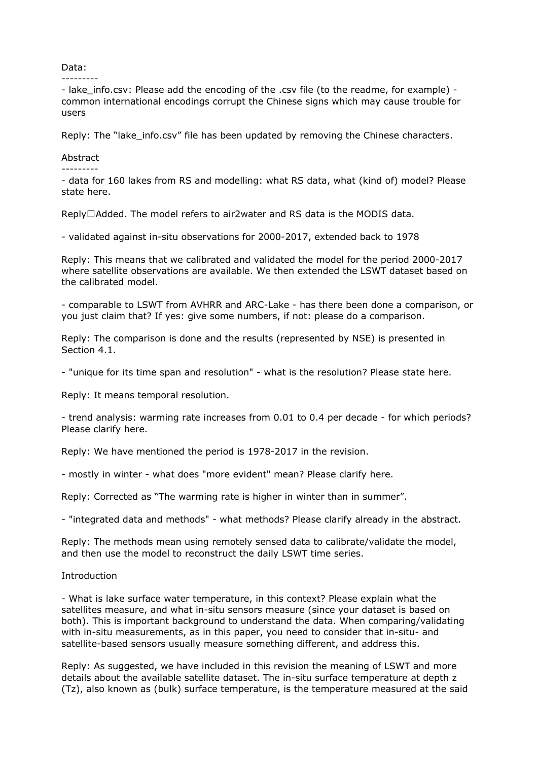Data:

---------

- lake info.csv: Please add the encoding of the .csv file (to the readme, for example) common international encodings corrupt the Chinese signs which may cause trouble for users

Reply: The "lake info.csv" file has been updated by removing the Chinese characters.

## Abstract

---------

- data for 160 lakes from RS and modelling: what RS data, what (kind of) model? Please state here.

Reply□Added. The model refers to air2water and RS data is the MODIS data.

- validated against in-situ observations for 2000-2017, extended back to 1978

Reply: This means that we calibrated and validated the model for the period 2000-2017 where satellite observations are available. We then extended the LSWT dataset based on the calibrated model.

- comparable to LSWT from AVHRR and ARC-Lake - has there been done a comparison, or you just claim that? If yes: give some numbers, if not: please do a comparison.

Reply: The comparison is done and the results (represented by NSE) is presented in Section 4.1.

- "unique for its time span and resolution" - what is the resolution? Please state here.

Reply: It means temporal resolution.

- trend analysis: warming rate increases from 0.01 to 0.4 per decade - for which periods? Please clarify here.

Reply: We have mentioned the period is 1978-2017 in the revision.

- mostly in winter - what does "more evident" mean? Please clarify here.

Reply: Corrected as "The warming rate is higher in winter than in summer".

- "integrated data and methods" - what methods? Please clarify already in the abstract.

Reply: The methods mean using remotely sensed data to calibrate/validate the model, and then use the model to reconstruct the daily LSWT time series.

## Introduction

- What is lake surface water temperature, in this context? Please explain what the satellites measure, and what in-situ sensors measure (since your dataset is based on both). This is important background to understand the data. When comparing/validating with in-situ measurements, as in this paper, you need to consider that in-situ- and satellite-based sensors usually measure something different, and address this.

Reply: As suggested, we have included in this revision the meaning of LSWT and more details about the available satellite dataset. The in-situ surface temperature at depth z (Tz), also known as (bulk) surface temperature, is the temperature measured at the said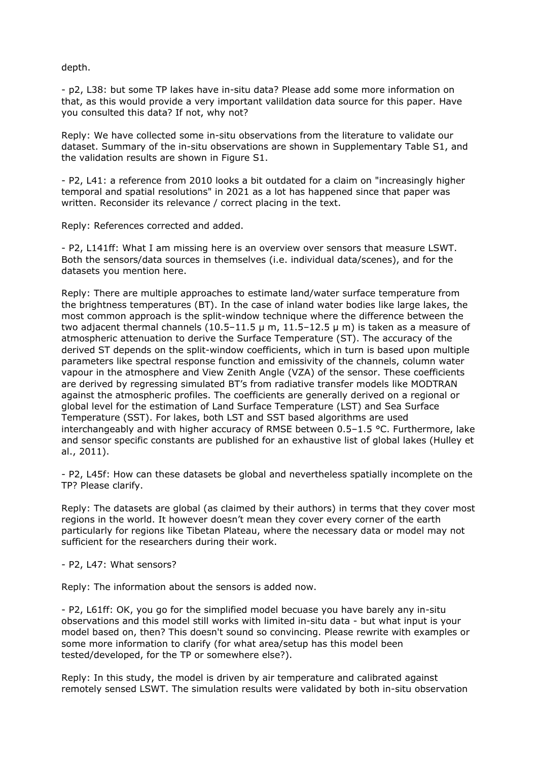depth.

- p2, L38: but some TP lakes have in-situ data? Please add some more information on that, as this would provide a very important valildation data source for this paper. Have you consulted this data? If not, why not?

Reply: We have collected some in-situ observations from the literature to validate our dataset. Summary of the in-situ observations are shown in Supplementary Table S1, and the validation results are shown in Figure S1.

- P2, L41: a reference from 2010 looks a bit outdated for a claim on "increasingly higher temporal and spatial resolutions" in 2021 as a lot has happened since that paper was written. Reconsider its relevance / correct placing in the text.

Reply: References corrected and added.

- P2, L141ff: What I am missing here is an overview over sensors that measure LSWT. Both the sensors/data sources in themselves (i.e. individual data/scenes), and for the datasets you mention here.

Reply: There are multiple approaches to estimate land/water surface temperature from the brightness temperatures (BT). In the case of inland water bodies like large lakes, the most common approach is the split-window technique where the difference between the two adjacent thermal channels (10.5–11.5  $\mu$  m, 11.5–12.5  $\mu$  m) is taken as a measure of atmospheric attenuation to derive the Surface Temperature (ST). The accuracy of the derived ST depends on the split-window coefficients, which in turn is based upon multiple parameters like spectral response function and emissivity of the channels, column water vapour in the atmosphere and View Zenith Angle (VZA) of the sensor. These coefficients are derived by regressing simulated BT's from radiative transfer models like MODTRAN against the atmospheric profiles. The coefficients are generally derived on a regional or global level for the estimation of Land Surface Temperature (LST) and Sea Surface Temperature (SST). For lakes, both LST and SST based algorithms are used interchangeably and with higher accuracy of RMSE between  $0.5-1.5$  °C. Furthermore, lake and sensor specific constants are published for an exhaustive list of global lakes (Hulley et al., 2011).

- P2, L45f: How can these datasets be global and nevertheless spatially incomplete on the TP? Please clarify.

Reply: The datasets are global (as claimed by their authors) in terms that they cover most regions in the world. It however doesn't mean they cover every corner of the earth particularly for regions like Tibetan Plateau, where the necessary data or model may not sufficient for the researchers during their work.

- P2, L47: What sensors?

Reply: The information about the sensors is added now.

- P2, L61ff: OK, you go for the simplified model becuase you have barely any in-situ observations and this model still works with limited in-situ data - but what input is your model based on, then? This doesn't sound so convincing. Please rewrite with examples or some more information to clarify (for what area/setup has this model been tested/developed, for the TP or somewhere else?).

Reply: In this study, the model is driven by air temperature and calibrated against remotely sensed LSWT. The simulation results were validated by both in-situ observation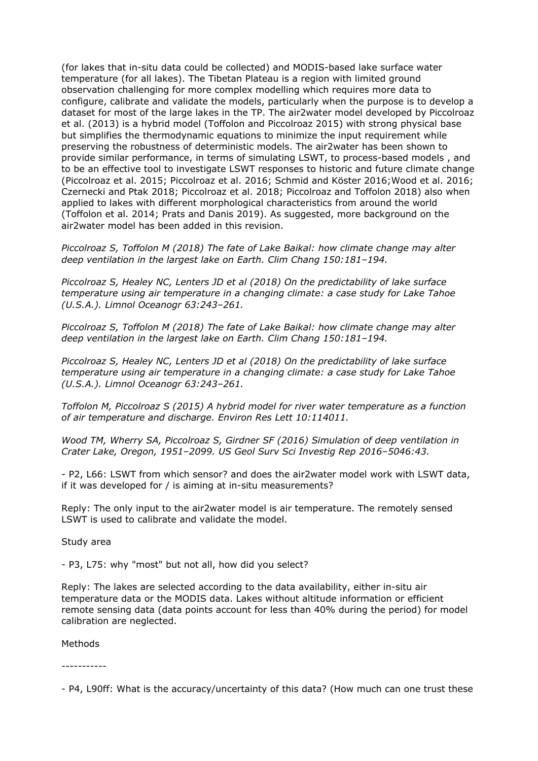(for lakes that in-situ data could be collected) and MODIS-based lake surface water temperature (for all lakes). The Tibetan Plateau is a region with limited ground observation challenging for more complex modelling which requires more data to configure, calibrate and validate the models, particularly when the purpose is to develop a dataset for most of the large lakes in the TP. The air2water model developed by Piccolroaz et al. (2013) is a hybrid model (Toffolon and Piccolroaz 2015) with strong physical base but simplifies the thermodynamic equations to minimize the input requirement while preserving the robustness of deterministic models. The air2water has been shown to provide similar performance, in terms of simulating LSWT, to process-based models , and to be an effective tool to investigate LSWT responses to historic and future climate change (Piccolroaz et al. 2015; Piccolroaz et al. 2016; Schmid and Köster 2016;Wood et al. 2016; Czernecki and Ptak 2018; Piccolroaz et al. 2018; Piccolroaz and Toffolon 2018) also when applied to lakes with different morphological characteristics from around the world (Toffolon et al. 2014; Prats and Danis 2019). As suggested, more background on the air2water model has been added in this revision.

*Piccolroaz S, Toffolon M (2018) The fate of Lake Baikal: how climate change may alter deep ventilation in the largest lake on Earth. Clim Chang 150:181–194.* 

*Piccolroaz S, Healey NC, Lenters JD et al (2018) On the predictability of lake surface temperature using air temperature in a changing climate: a case study for Lake Tahoe (U.S.A.). Limnol Oceanogr 63:243–261.*

*Piccolroaz S, Toffolon M (2018) The fate of Lake Baikal: how climate change may alter deep ventilation in the largest lake on Earth. Clim Chang 150:181–194.* 

*Piccolroaz S, Healey NC, Lenters JD et al (2018) On the predictability of lake surface temperature using air temperature in a changing climate: a case study for Lake Tahoe (U.S.A.). Limnol Oceanogr 63:243–261.*

*Toffolon M, Piccolroaz S (2015) A hybrid model for river water temperature as a function of air temperature and discharge. Environ Res Lett 10:114011.* 

*Wood TM, Wherry SA, Piccolroaz S, Girdner SF (2016) Simulation of deep ventilation in Crater Lake, Oregon, 1951–2099. US Geol Surv Sci Investig Rep 2016–5046:43.*

- P2, L66: LSWT from which sensor? and does the air2water model work with LSWT data, if it was developed for / is aiming at in-situ measurements?

Reply: The only input to the air2water model is air temperature. The remotely sensed LSWT is used to calibrate and validate the model.

Study area

- P3, L75: why "most" but not all, how did you select?

Reply: The lakes are selected according to the data availability, either in-situ air temperature data or the MODIS data. Lakes without altitude information or efficient remote sensing data (data points account for less than 40% during the period) for model calibration are neglected.

Methods

-----------

<sup>-</sup> P4, L90ff: What is the accuracy/uncertainty of this data? (How much can one trust these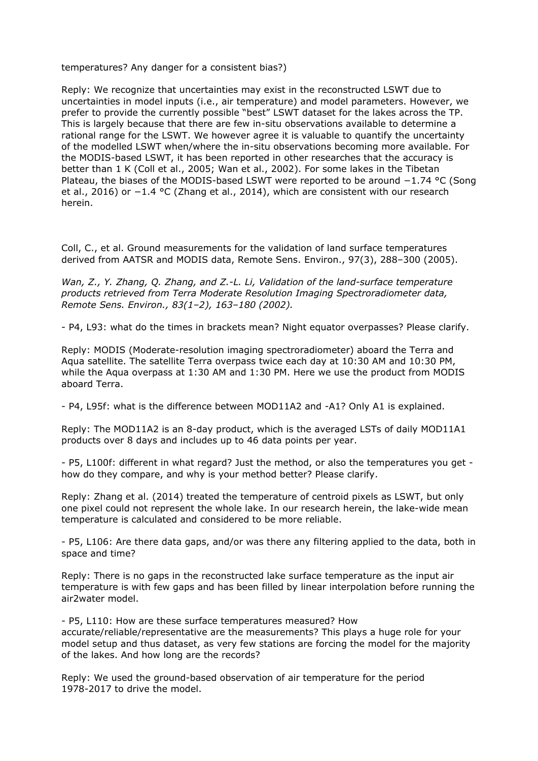temperatures? Any danger for a consistent bias?)

Reply: We recognize that uncertainties may exist in the reconstructed LSWT due to uncertainties in model inputs (i.e., air temperature) and model parameters. However, we prefer to provide the currently possible "best" LSWT dataset for the lakes across the TP. This is largely because that there are few in-situ observations available to determine a rational range for the LSWT. We however agree it is valuable to quantify the uncertainty of the modelled LSWT when/where the in-situ observations becoming more available. For the MODIS-based LSWT, it has been reported in other researches that the accuracy is better than 1 K (Coll et al., 2005; Wan et al., 2002). For some lakes in the Tibetan Plateau, the biases of the MODIS-based LSWT were reported to be around −1.74 °C (Song et al., 2016) or −1.4 °C (Zhang et al., 2014), which are consistent with our research herein.

Coll, C., et al. Ground measurements for the validation of land surface temperatures derived from AATSR and MODIS data, Remote Sens. Environ., 97(3), 288–300 (2005).

*Wan, Z., Y. Zhang, Q. Zhang, and Z.-L. Li, Validation of the land-surface temperature products retrieved from Terra Moderate Resolution Imaging Spectroradiometer data, Remote Sens. Environ., 83(1–2), 163–180 (2002).*

- P4, L93: what do the times in brackets mean? Night equator overpasses? Please clarify.

Reply: MODIS (Moderate-resolution imaging spectroradiometer) aboard the Terra and Aqua satellite. The satellite Terra overpass twice each day at 10:30 AM and 10:30 PM, while the Aqua overpass at 1:30 AM and 1:30 PM. Here we use the product from MODIS aboard Terra.

- P4, L95f: what is the difference between MOD11A2 and -A1? Only A1 is explained.

Reply: The MOD11A2 is an 8-day product, which is the averaged LSTs of daily MOD11A1 products over 8 days and includes up to 46 data points per year.

- P5, L100f: different in what regard? Just the method, or also the temperatures you get how do they compare, and why is your method better? Please clarify.

Reply: Zhang et al. (2014) treated the temperature of centroid pixels as LSWT, but only one pixel could not represent the whole lake. In our research herein, the lake-wide mean temperature is calculated and considered to be more reliable.

- P5, L106: Are there data gaps, and/or was there any filtering applied to the data, both in space and time?

Reply: There is no gaps in the reconstructed lake surface temperature as the input air temperature is with few gaps and has been filled by linear interpolation before running the air2water model.

- P5, L110: How are these surface temperatures measured? How accurate/reliable/representative are the measurements? This plays a huge role for your model setup and thus dataset, as very few stations are forcing the model for the majority of the lakes. And how long are the records?

Reply: We used the ground-based observation of air temperature for the period 1978-2017 to drive the model.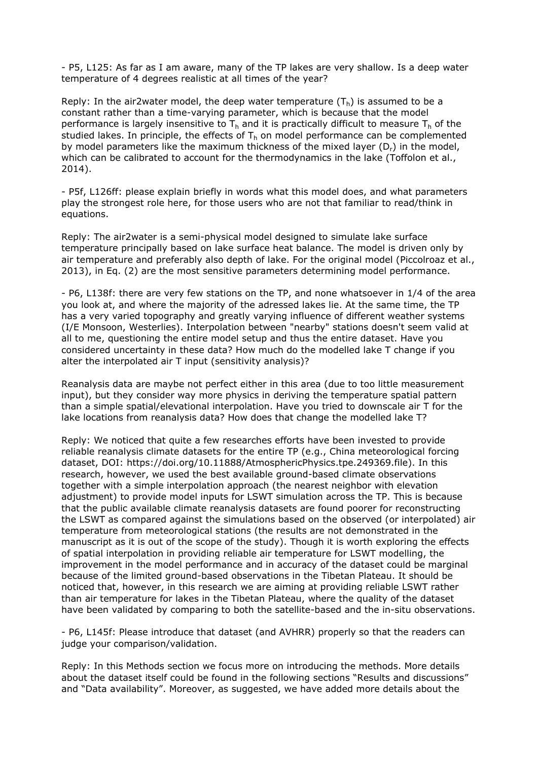- P5, L125: As far as I am aware, many of the TP lakes are very shallow. Is a deep water temperature of 4 degrees realistic at all times of the year?

Reply: In the air2water model, the deep water temperature  $(T<sub>b</sub>)$  is assumed to be a constant rather than a time-varying parameter, which is because that the model performance is largely insensitive to  $T<sub>h</sub>$  and it is practically difficult to measure  $T<sub>h</sub>$  of the studied lakes. In principle, the effects of  $T<sub>h</sub>$  on model performance can be complemented by model parameters like the maximum thickness of the mixed layer (D<sub>r</sub>) in the model, which can be calibrated to account for the thermodynamics in the lake (Toffolon et al., 2014).

- P5f, L126ff: please explain briefly in words what this model does, and what parameters play the strongest role here, for those users who are not that familiar to read/think in equations.

Reply: The air2water is a semi-physical model designed to simulate lake surface temperature principally based on lake surface heat balance. The model is driven only by air temperature and preferably also depth of lake. For the original model (Piccolroaz et al., 2013), in Eq. (2) are the most sensitive parameters determining model performance.

- P6, L138f: there are very few stations on the TP, and none whatsoever in 1/4 of the area you look at, and where the majority of the adressed lakes lie. At the same time, the TP has a very varied topography and greatly varying influence of different weather systems (I/E Monsoon, Westerlies). Interpolation between "nearby" stations doesn't seem valid at all to me, questioning the entire model setup and thus the entire dataset. Have you considered uncertainty in these data? How much do the modelled lake T change if you alter the interpolated air T input (sensitivity analysis)?

Reanalysis data are maybe not perfect either in this area (due to too little measurement input), but they consider way more physics in deriving the temperature spatial pattern than a simple spatial/elevational interpolation. Have you tried to downscale air T for the lake locations from reanalysis data? How does that change the modelled lake T?

Reply: We noticed that quite a few researches efforts have been invested to provide reliable reanalysis climate datasets for the entire TP (e.g., China meteorological forcing dataset, DOI: https://doi.org/10.11888/AtmosphericPhysics.tpe.249369.file). In this research, however, we used the best available ground-based climate observations together with a simple interpolation approach (the nearest neighbor with elevation adjustment) to provide model inputs for LSWT simulation across the TP. This is because that the public available climate reanalysis datasets are found poorer for reconstructing the LSWT as compared against the simulations based on the observed (or interpolated) air temperature from meteorological stations (the results are not demonstrated in the manuscript as it is out of the scope of the study). Though it is worth exploring the effects of spatial interpolation in providing reliable air temperature for LSWT modelling, the improvement in the model performance and in accuracy of the dataset could be marginal because of the limited ground-based observations in the Tibetan Plateau. It should be noticed that, however, in this research we are aiming at providing reliable LSWT rather than air temperature for lakes in the Tibetan Plateau, where the quality of the dataset have been validated by comparing to both the satellite-based and the in-situ observations.

- P6, L145f: Please introduce that dataset (and AVHRR) properly so that the readers can judge your comparison/validation.

Reply: In this Methods section we focus more on introducing the methods. More details about the dataset itself could be found in the following sections "Results and discussions" and "Data availability". Moreover, as suggested, we have added more details about the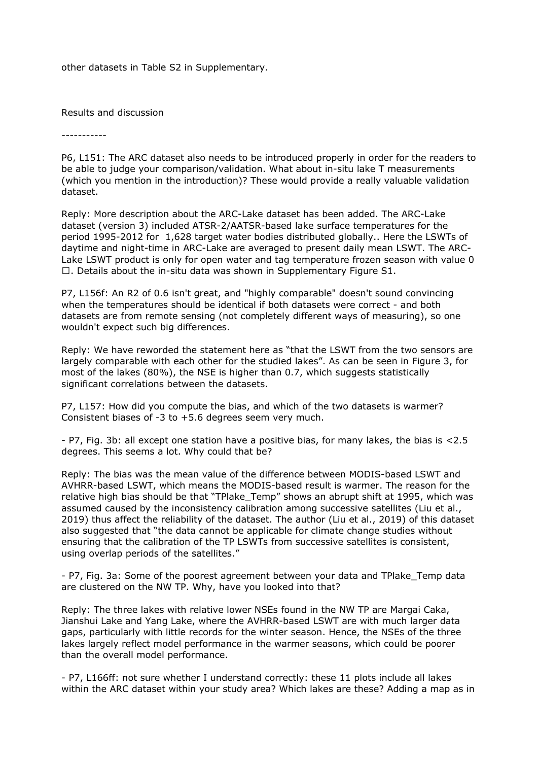other datasets in Table S2 in Supplementary.

Results and discussion

-----------

P6, L151: The ARC dataset also needs to be introduced properly in order for the readers to be able to judge your comparison/validation. What about in-situ lake T measurements (which you mention in the introduction)? These would provide a really valuable validation dataset.

Reply: More description about the ARC-Lake dataset has been added. The ARC-Lake dataset (version 3) included ATSR-2/AATSR-based lake surface temperatures for the period 1995-2012 for 1,628 target water bodies distributed globally.. Here the LSWTs of daytime and night-time in ARC-Lake are averaged to present daily mean LSWT. The ARC-Lake LSWT product is only for open water and tag temperature frozen season with value 0  $\Box$ . Details about the in-situ data was shown in Supplementary Figure S1.

P7, L156f: An R2 of 0.6 isn't great, and "highly comparable" doesn't sound convincing when the temperatures should be identical if both datasets were correct - and both datasets are from remote sensing (not completely different ways of measuring), so one wouldn't expect such big differences.

Reply: We have reworded the statement here as "that the LSWT from the two sensors are largely comparable with each other for the studied lakes". As can be seen in Figure 3, for most of the lakes (80%), the NSE is higher than 0.7, which suggests statistically significant correlations between the datasets.

P7, L157: How did you compute the bias, and which of the two datasets is warmer? Consistent biases of -3 to +5.6 degrees seem very much.

- P7, Fig. 3b: all except one station have a positive bias, for many lakes, the bias is <2.5 degrees. This seems a lot. Why could that be?

Reply: The bias was the mean value of the difference between MODIS-based LSWT and AVHRR-based LSWT, which means the MODIS-based result is warmer. The reason for the relative high bias should be that "TPlake\_Temp" shows an abrupt shift at 1995, which was assumed caused by the inconsistency calibration among successive satellites (Liu et al., 2019) thus affect the reliability of the dataset. The author (Liu et al., 2019) of this dataset also suggested that "the data cannot be applicable for climate change studies without ensuring that the calibration of the TP LSWTs from successive satellites is consistent, using overlap periods of the satellites."

- P7, Fig. 3a: Some of the poorest agreement between your data and TPlake\_Temp data are clustered on the NW TP. Why, have you looked into that?

Reply: The three lakes with relative lower NSEs found in the NW TP are Margai Caka, Jianshui Lake and Yang Lake, where the AVHRR-based LSWT are with much larger data gaps, particularly with little records for the winter season. Hence, the NSEs of the three lakes largely reflect model performance in the warmer seasons, which could be poorer than the overall model performance.

- P7, L166ff: not sure whether I understand correctly: these 11 plots include all lakes within the ARC dataset within your study area? Which lakes are these? Adding a map as in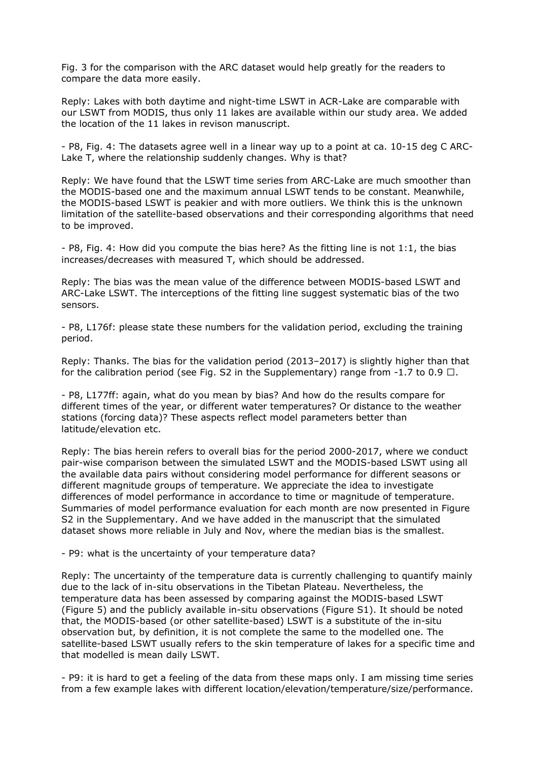Fig. 3 for the comparison with the ARC dataset would help greatly for the readers to compare the data more easily.

Reply: Lakes with both daytime and night-time LSWT in ACR-Lake are comparable with our LSWT from MODIS, thus only 11 lakes are available within our study area. We added the location of the 11 lakes in revison manuscript.

- P8, Fig. 4: The datasets agree well in a linear way up to a point at ca. 10-15 deg C ARC-Lake T, where the relationship suddenly changes. Why is that?

Reply: We have found that the LSWT time series from ARC-Lake are much smoother than the MODIS-based one and the maximum annual LSWT tends to be constant. Meanwhile, the MODIS-based LSWT is peakier and with more outliers. We think this is the unknown limitation of the satellite-based observations and their corresponding algorithms that need to be improved.

- P8, Fig. 4: How did you compute the bias here? As the fitting line is not 1:1, the bias increases/decreases with measured T, which should be addressed.

Reply: The bias was the mean value of the difference between MODIS-based LSWT and ARC-Lake LSWT. The interceptions of the fitting line suggest systematic bias of the two sensors.

- P8, L176f: please state these numbers for the validation period, excluding the training period.

Reply: Thanks. The bias for the validation period (2013–2017) is slightly higher than that for the calibration period (see Fig. S2 in the Supplementary) range from -1.7 to 0.9  $\Box$ .

- P8, L177ff: again, what do you mean by bias? And how do the results compare for different times of the year, or different water temperatures? Or distance to the weather stations (forcing data)? These aspects reflect model parameters better than latitude/elevation etc.

Reply: The bias herein refers to overall bias for the period 2000-2017, where we conduct pair-wise comparison between the simulated LSWT and the MODIS-based LSWT using all the available data pairs without considering model performance for different seasons or different magnitude groups of temperature. We appreciate the idea to investigate differences of model performance in accordance to time or magnitude of temperature. Summaries of model performance evaluation for each month are now presented in Figure S2 in the Supplementary. And we have added in the manuscript that the simulated dataset shows more reliable in July and Nov, where the median bias is the smallest.

- P9: what is the uncertainty of your temperature data?

Reply: The uncertainty of the temperature data is currently challenging to quantify mainly due to the lack of in-situ observations in the Tibetan Plateau. Nevertheless, the temperature data has been assessed by comparing against the MODIS-based LSWT (Figure 5) and the publicly available in-situ observations (Figure S1). It should be noted that, the MODIS-based (or other satellite-based) LSWT is a substitute of the in-situ observation but, by definition, it is not complete the same to the modelled one. The satellite-based LSWT usually refers to the skin temperature of lakes for a specific time and that modelled is mean daily LSWT.

- P9: it is hard to get a feeling of the data from these maps only. I am missing time series from a few example lakes with different location/elevation/temperature/size/performance.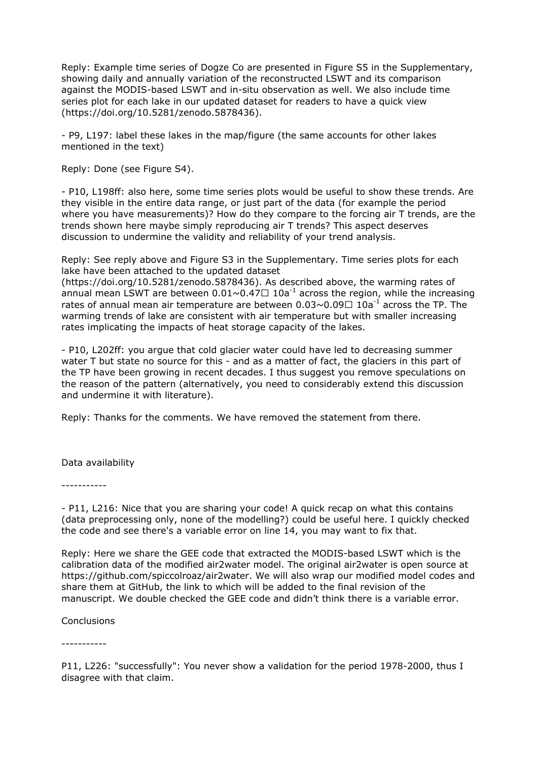Reply: Example time series of Dogze Co are presented in Figure S5 in the Supplementary, showing daily and annually variation of the reconstructed LSWT and its comparison against the MODIS-based LSWT and in-situ observation as well. We also include time series plot for each lake in our updated dataset for readers to have a quick view (https://doi.org/10.5281/zenodo.5878436).

- P9, L197: label these lakes in the map/figure (the same accounts for other lakes mentioned in the text)

Reply: Done (see Figure S4).

- P10, L198ff: also here, some time series plots would be useful to show these trends. Are they visible in the entire data range, or just part of the data (for example the period where you have measurements)? How do they compare to the forcing air T trends, are the trends shown here maybe simply reproducing air T trends? This aspect deserves discussion to undermine the validity and reliability of your trend analysis.

Reply: See reply above and Figure S3 in the Supplementary. Time series plots for each lake have been attached to the updated dataset

(https://doi.org/10.5281/zenodo.5878436). As described above, the warming rates of annual mean LSWT are between  $0.01 \sim 0.47 \square 10a^{-1}$  across the region, while the increasing rates of annual mean air temperature are between  $0.03 \sim 0.09 \square 10a^{-1}$  across the TP. The warming trends of lake are consistent with air temperature but with smaller increasing rates implicating the impacts of heat storage capacity of the lakes.

- P10, L202ff: you argue that cold glacier water could have led to decreasing summer water T but state no source for this - and as a matter of fact, the glaciers in this part of the TP have been growing in recent decades. I thus suggest you remove speculations on the reason of the pattern (alternatively, you need to considerably extend this discussion and undermine it with literature).

Reply: Thanks for the comments. We have removed the statement from there.

Data availability

-----------

- P11, L216: Nice that you are sharing your code! A quick recap on what this contains (data preprocessing only, none of the modelling?) could be useful here. I quickly checked the code and see there's a variable error on line 14, you may want to fix that.

Reply: Here we share the GEE code that extracted the MODIS-based LSWT which is the calibration data of the modified air2water model. The original air2water is open source at https://github.com/spiccolroaz/air2water. We will also wrap our modified model codes and share them at GitHub, the link to which will be added to the final revision of the manuscript. We double checked the GEE code and didn't think there is a variable error.

**Conclusions** 

-----------

P11, L226: "successfully": You never show a validation for the period 1978-2000, thus I disagree with that claim.